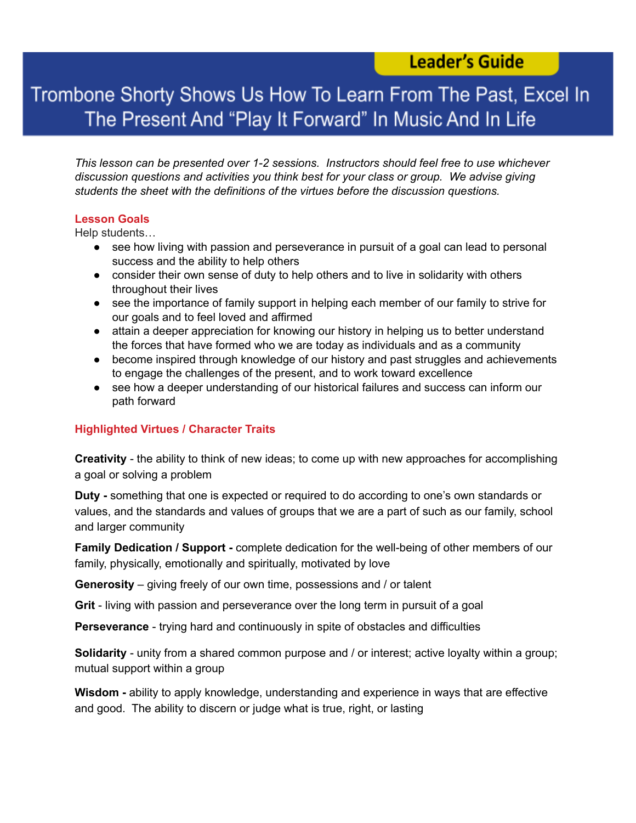### **Leader's Guide**

## Trombone Shorty Shows Us How To Learn From The Past, Excel In The Present And "Play It Forward" In Music And In Life

*This lesson can be presented over 1-2 sessions. Instructors should feel free to use whichever discussion questions and activities you think best for your class or group. We advise giving students the sheet with the definitions of the virtues before the discussion questions.*

#### **Lesson Goals**

Help students…

- see how living with passion and perseverance in pursuit of a goal can lead to personal success and the ability to help others
- consider their own sense of duty to help others and to live in solidarity with others throughout their lives
- see the importance of family support in helping each member of our family to strive for our goals and to feel loved and affirmed
- attain a deeper appreciation for knowing our history in helping us to better understand the forces that have formed who we are today as individuals and as a community
- become inspired through knowledge of our history and past struggles and achievements to engage the challenges of the present, and to work toward excellence
- see how a deeper understanding of our historical failures and success can inform our path forward

#### **Highlighted Virtues / Character Traits**

**Creativity** - the ability to think of new ideas; to come up with new approaches for accomplishing a goal or solving a problem

**Duty -** something that one is expected or required to do according to one's own standards or values, and the standards and values of groups that we are a part of such as our family, school and larger community

**Family Dedication / Support -** complete dedication for the well-being of other members of our family, physically, emotionally and spiritually, motivated by love

**Generosity** – giving freely of our own time, possessions and / or talent

**Grit** - living with passion and perseverance over the long term in pursuit of a goal

**Perseverance** - trying hard and continuously in spite of obstacles and difficulties

**Solidarity** - unity from a shared common purpose and / or interest; active loyalty within a group; mutual support within a group

**Wisdom -** ability to apply knowledge, understanding and experience in ways that are effective and good. The ability to discern or judge what is true, right, or lasting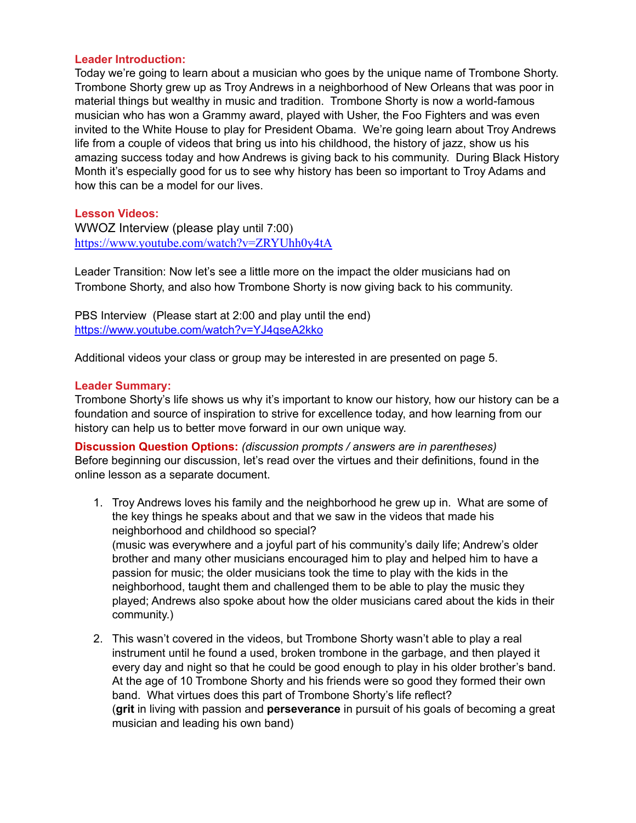#### **Leader Introduction:**

Today we're going to learn about a musician who goes by the unique name of Trombone Shorty. Trombone Shorty grew up as Troy Andrews in a neighborhood of New Orleans that was poor in material things but wealthy in music and tradition. Trombone Shorty is now a world-famous musician who has won a Grammy award, played with Usher, the Foo Fighters and was even invited to the White House to play for President Obama. We're going learn about Troy Andrews life from a couple of videos that bring us into his childhood, the history of jazz, show us his amazing success today and how Andrews is giving back to his community. During Black History Month it's especially good for us to see why history has been so important to Troy Adams and how this can be a model for our lives.

#### **Lesson Videos:**

WWOZ Interview (please play until 7:00) <https://www.youtube.com/watch?v=ZRYUhh0y4tA>

Leader Transition: Now let's see a little more on the impact the older musicians had on Trombone Shorty, and also how Trombone Shorty is now giving back to his community.

PBS Interview (Please start at 2:00 and play until the end) <https://www.youtube.com/watch?v=YJ4qseA2kko>

Additional videos your class or group may be interested in are presented on page 5.

#### **Leader Summary:**

Trombone Shorty's life shows us why it's important to know our history, how our history can be a foundation and source of inspiration to strive for excellence today, and how learning from our history can help us to better move forward in our own unique way.

**Discussion Question Options:** *(discussion prompts / answers are in parentheses)* Before beginning our discussion, let's read over the virtues and their definitions, found in the online lesson as a separate document.

- 1. Troy Andrews loves his family and the neighborhood he grew up in. What are some of the key things he speaks about and that we saw in the videos that made his neighborhood and childhood so special? (music was everywhere and a joyful part of his community's daily life; Andrew's older brother and many other musicians encouraged him to play and helped him to have a passion for music; the older musicians took the time to play with the kids in the neighborhood, taught them and challenged them to be able to play the music they played; Andrews also spoke about how the older musicians cared about the kids in their community.)
- 2. This wasn't covered in the videos, but Trombone Shorty wasn't able to play a real instrument until he found a used, broken trombone in the garbage, and then played it every day and night so that he could be good enough to play in his older brother's band. At the age of 10 Trombone Shorty and his friends were so good they formed their own band. What virtues does this part of Trombone Shorty's life reflect? (**grit** in living with passion and **perseverance** in pursuit of his goals of becoming a great musician and leading his own band)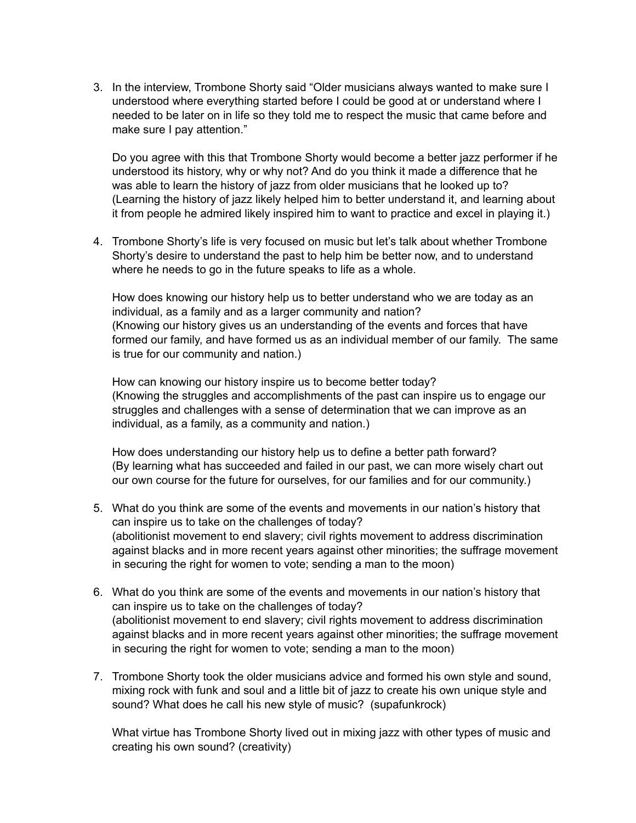3. In the interview, Trombone Shorty said "Older musicians always wanted to make sure I understood where everything started before I could be good at or understand where I needed to be later on in life so they told me to respect the music that came before and make sure I pay attention."

Do you agree with this that Trombone Shorty would become a better jazz performer if he understood its history, why or why not? And do you think it made a difference that he was able to learn the history of jazz from older musicians that he looked up to? (Learning the history of jazz likely helped him to better understand it, and learning about it from people he admired likely inspired him to want to practice and excel in playing it.)

4. Trombone Shorty's life is very focused on music but let's talk about whether Trombone Shorty's desire to understand the past to help him be better now, and to understand where he needs to go in the future speaks to life as a whole.

How does knowing our history help us to better understand who we are today as an individual, as a family and as a larger community and nation? (Knowing our history gives us an understanding of the events and forces that have formed our family, and have formed us as an individual member of our family. The same is true for our community and nation.)

How can knowing our history inspire us to become better today? (Knowing the struggles and accomplishments of the past can inspire us to engage our struggles and challenges with a sense of determination that we can improve as an individual, as a family, as a community and nation.)

How does understanding our history help us to define a better path forward? (By learning what has succeeded and failed in our past, we can more wisely chart out our own course for the future for ourselves, for our families and for our community.)

- 5. What do you think are some of the events and movements in our nation's history that can inspire us to take on the challenges of today? (abolitionist movement to end slavery; civil rights movement to address discrimination against blacks and in more recent years against other minorities; the suffrage movement in securing the right for women to vote; sending a man to the moon)
- 6. What do you think are some of the events and movements in our nation's history that can inspire us to take on the challenges of today? (abolitionist movement to end slavery; civil rights movement to address discrimination against blacks and in more recent years against other minorities; the suffrage movement in securing the right for women to vote; sending a man to the moon)
- 7. Trombone Shorty took the older musicians advice and formed his own style and sound, mixing rock with funk and soul and a little bit of jazz to create his own unique style and sound? What does he call his new style of music? (supafunkrock)

What virtue has Trombone Shorty lived out in mixing jazz with other types of music and creating his own sound? (creativity)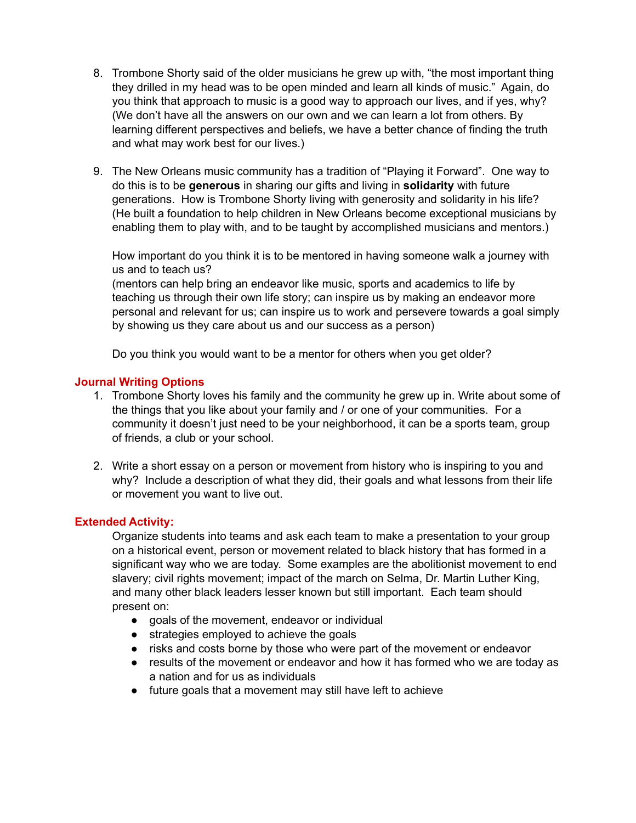- 8. Trombone Shorty said of the older musicians he grew up with, "the most important thing they drilled in my head was to be open minded and learn all kinds of music." Again, do you think that approach to music is a good way to approach our lives, and if yes, why? (We don't have all the answers on our own and we can learn a lot from others. By learning different perspectives and beliefs, we have a better chance of finding the truth and what may work best for our lives.)
- 9. The New Orleans music community has a tradition of "Playing it Forward". One way to do this is to be **generous** in sharing our gifts and living in **solidarity** with future generations. How is Trombone Shorty living with generosity and solidarity in his life? (He built a foundation to help children in New Orleans become exceptional musicians by enabling them to play with, and to be taught by accomplished musicians and mentors.)

How important do you think it is to be mentored in having someone walk a journey with us and to teach us?

(mentors can help bring an endeavor like music, sports and academics to life by teaching us through their own life story; can inspire us by making an endeavor more personal and relevant for us; can inspire us to work and persevere towards a goal simply by showing us they care about us and our success as a person)

Do you think you would want to be a mentor for others when you get older?

#### **Journal Writing Options**

- 1. Trombone Shorty loves his family and the community he grew up in. Write about some of the things that you like about your family and / or one of your communities. For a community it doesn't just need to be your neighborhood, it can be a sports team, group of friends, a club or your school.
- 2. Write a short essay on a person or movement from history who is inspiring to you and why? Include a description of what they did, their goals and what lessons from their life or movement you want to live out.

#### **Extended Activity:**

Organize students into teams and ask each team to make a presentation to your group on a historical event, person or movement related to black history that has formed in a significant way who we are today. Some examples are the abolitionist movement to end slavery; civil rights movement; impact of the march on Selma, Dr. Martin Luther King, and many other black leaders lesser known but still important. Each team should present on:

- goals of the movement, endeavor or individual
- strategies employed to achieve the goals
- risks and costs borne by those who were part of the movement or endeavor
- results of the movement or endeavor and how it has formed who we are today as a nation and for us as individuals
- future goals that a movement may still have left to achieve